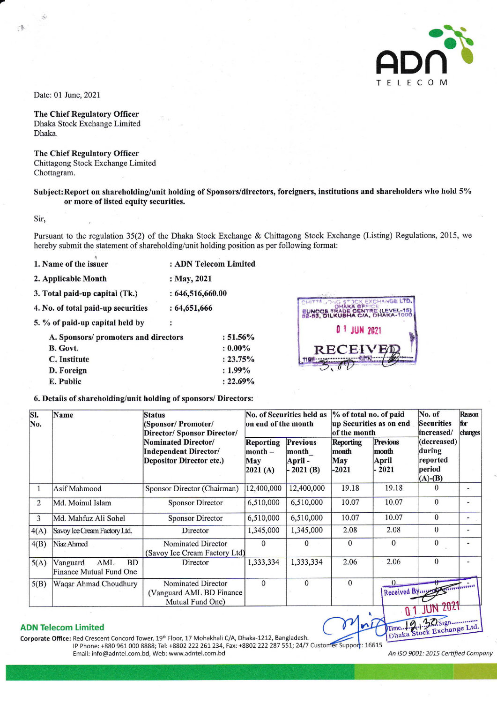

Date: 01 June, 2021

t/

CB.

## The Chief Regulatory Officer

Dhaka Stock Exchange Limited Dhaka.

## The Chief Regulatory Officer

Chittagong Stock Exchange Limited Chottagram.

# Subject:Report on shareholding/unit holding of Sponsors/directors, foreigners, institutions and shareholders who hold 5%o or more of listed equity securifies.

Sir,

Pursuant to the regulation 35(2) of the Dhaka Stock Exchange & Chittagong Stock Exchange (Listing) Regulations.2015, we hereby submit the statement of shareholding/unit holding position as per following format:

| 1. Name of the issuer              | : ADN Telecom Limited |  |  |  |  |
|------------------------------------|-----------------------|--|--|--|--|
| 2. Applicable Month                | : May, 2021           |  |  |  |  |
| 3. Total paid-up capital (Tk.)     | : 646, 516, 660.00    |  |  |  |  |
| 4. No. of total paid-up securities | : 64,651,666          |  |  |  |  |
| $-0.7$ $-1.1$ $-1.1$ $-1.1$        |                       |  |  |  |  |

5.  $%$  of paid-up capital held by :

| A. Sponsors/ promoters and directors |             |  |
|--------------------------------------|-------------|--|
|                                      | $: 0.00\%$  |  |
|                                      | $: 23.75\%$ |  |
|                                      | $: 1.99\%$  |  |
|                                      | $: 22.69\%$ |  |
|                                      |             |  |



## 6. Details of shareholding/unit holding of sponsors/ Directors:

| SI.<br>Name<br>No. |                                                         | <b>Status</b><br>(Sponsor/Promoter/<br>Director/ Sponsor Director/                     | No. of Securities held as<br>on end of the month |                                                   | % of total no. of paid<br>up Securities as on end<br>of the month |                                             | No. of<br><b>Securities</b><br>increased/                | <b>Reason</b><br>for<br>changes |
|--------------------|---------------------------------------------------------|----------------------------------------------------------------------------------------|--------------------------------------------------|---------------------------------------------------|-------------------------------------------------------------------|---------------------------------------------|----------------------------------------------------------|---------------------------------|
|                    |                                                         | Nominated Director/<br><b>Independent Director/</b><br><b>Depositor Director etc.)</b> | Reporting<br>$month -$<br><b>May</b><br> 2021(A) | <b>Previous</b><br>month<br>April -<br>$-2021(B)$ | <b>Reporting</b><br>month<br>May<br>$-2021$                       | <b>Previous</b><br>month<br>April<br>- 2021 | (decreased)<br>during<br>reported<br>period<br>$(A)-(B)$ |                                 |
|                    | Asif Mahmood                                            | Sponsor Director (Chairman)                                                            | 12,400,000                                       | 12,400,000                                        | 19.18                                                             | 19.18                                       | 0                                                        | ۰                               |
| 2                  | Md. Moinul Islam                                        | <b>Sponsor Director</b>                                                                | 6,510,000                                        | 6,510,000                                         | 10.07                                                             | 10.07                                       | $\Omega$                                                 | ٠                               |
| 3                  | Md. Mahfuz Ali Sohel                                    | <b>Sponsor Director</b>                                                                | 6,510,000                                        | 6,510,000                                         | 10.07                                                             | 10.07                                       | $\Omega$                                                 | -                               |
| 4(A)               | Savoy Ice Cream Factory Ltd.                            | Director                                                                               | 1,345,000                                        | 1,345,000                                         | 2.08                                                              | 2.08                                        | $\Omega$                                                 | $\overline{a}$                  |
| 4(B)               | Niaz Ahmed                                              | Nominated Director<br>(Savoy Ice Cream Factory Ltd)                                    | $\mathbf{0}$                                     | $\mathbf{0}$                                      | $\Omega$                                                          | $\mathbf{0}$                                | $\Omega$                                                 |                                 |
| 5(A)               | <b>BD</b><br>Vanguard<br>AML<br>Finance Mutual Fund One | Director                                                                               | 1,333,334                                        | 1,333,334                                         | 2.06                                                              | 2.06                                        | $\theta$                                                 |                                 |
| 5(B)               | Waqar Ahmad Choudhury                                   | Nominated Director<br>(Vanguard AML BD Finance)<br>Mutual Fund One)                    | $\Omega$                                         | $\Omega$                                          | $\Omega$                                                          |                                             | Received By my Think with                                |                                 |
|                    |                                                         |                                                                                        |                                                  |                                                   |                                                                   | $\theta$                                    | <b>JUN 2021</b>                                          |                                 |

#### ADN Telecom Limited

Corporate Office: Red Crescent Concord Tower, 19<sup>th</sup> Floor, 17 Mohakhali C/A, Dhaka-1212, Bangladesh. IP Phone: +880 961 000 8888; Tel: +8802 222 261 234, Fax: +8802 222 287 551; 24/7 Customer Support: 16615 Email: info@adntel.com.bd, Web: www.adntel.com.bd

An ISO 9001: 2015 Certified Compony

Dhaka St

Time.

k Exchange Ltd.

 $O$ Sign...